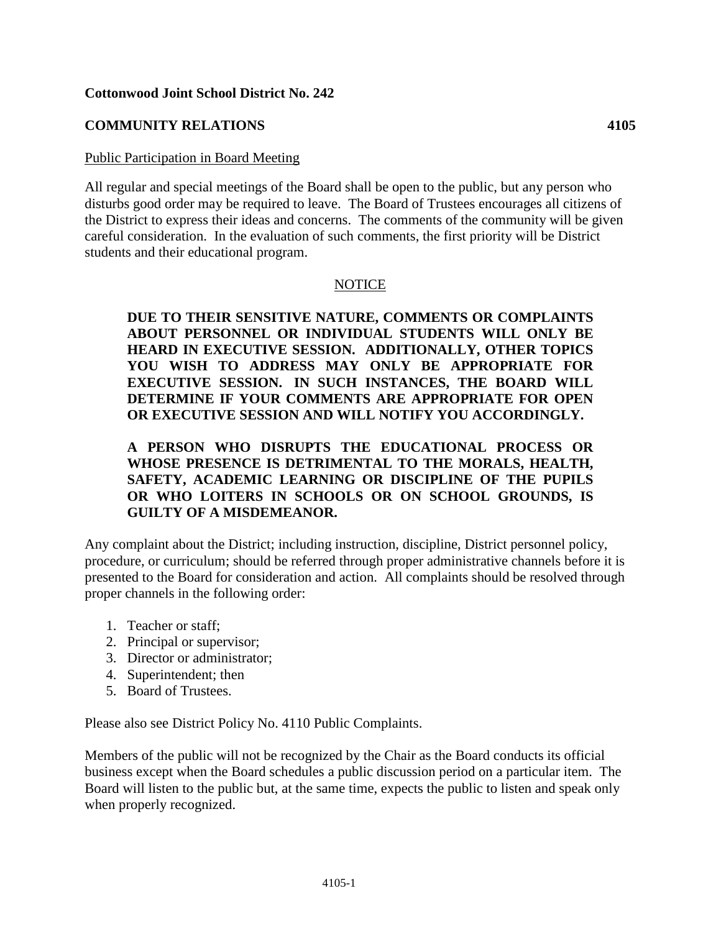### **Cottonwood Joint School District No. 242**

# **COMMUNITY RELATIONS 4105**

#### Public Participation in Board Meeting

All regular and special meetings of the Board shall be open to the public, but any person who disturbs good order may be required to leave. The Board of Trustees encourages all citizens of the District to express their ideas and concerns. The comments of the community will be given careful consideration. In the evaluation of such comments, the first priority will be District students and their educational program.

## NOTICE

**DUE TO THEIR SENSITIVE NATURE, COMMENTS OR COMPLAINTS ABOUT PERSONNEL OR INDIVIDUAL STUDENTS WILL ONLY BE HEARD IN EXECUTIVE SESSION. ADDITIONALLY, OTHER TOPICS YOU WISH TO ADDRESS MAY ONLY BE APPROPRIATE FOR EXECUTIVE SESSION. IN SUCH INSTANCES, THE BOARD WILL DETERMINE IF YOUR COMMENTS ARE APPROPRIATE FOR OPEN OR EXECUTIVE SESSION AND WILL NOTIFY YOU ACCORDINGLY.** 

## **A PERSON WHO DISRUPTS THE EDUCATIONAL PROCESS OR WHOSE PRESENCE IS DETRIMENTAL TO THE MORALS, HEALTH, SAFETY, ACADEMIC LEARNING OR DISCIPLINE OF THE PUPILS OR WHO LOITERS IN SCHOOLS OR ON SCHOOL GROUNDS, IS GUILTY OF A MISDEMEANOR.**

Any complaint about the District; including instruction, discipline, District personnel policy, procedure, or curriculum; should be referred through proper administrative channels before it is presented to the Board for consideration and action. All complaints should be resolved through proper channels in the following order:

- 1. Teacher or staff;
- 2. Principal or supervisor;
- 3. Director or administrator;
- 4. Superintendent; then
- 5. Board of Trustees.

Please also see District Policy No. 4110 Public Complaints.

Members of the public will not be recognized by the Chair as the Board conducts its official business except when the Board schedules a public discussion period on a particular item. The Board will listen to the public but, at the same time, expects the public to listen and speak only when properly recognized.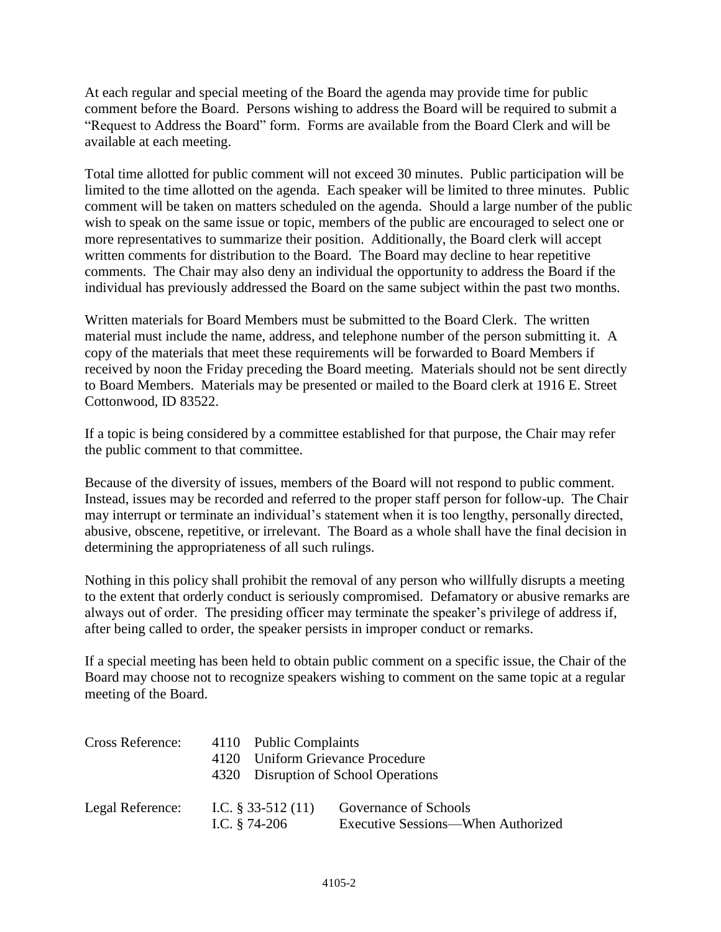At each regular and special meeting of the Board the agenda may provide time for public comment before the Board. Persons wishing to address the Board will be required to submit a "Request to Address the Board" form. Forms are available from the Board Clerk and will be available at each meeting.

Total time allotted for public comment will not exceed 30 minutes. Public participation will be limited to the time allotted on the agenda. Each speaker will be limited to three minutes. Public comment will be taken on matters scheduled on the agenda. Should a large number of the public wish to speak on the same issue or topic, members of the public are encouraged to select one or more representatives to summarize their position. Additionally, the Board clerk will accept written comments for distribution to the Board. The Board may decline to hear repetitive comments. The Chair may also deny an individual the opportunity to address the Board if the individual has previously addressed the Board on the same subject within the past two months.

Written materials for Board Members must be submitted to the Board Clerk. The written material must include the name, address, and telephone number of the person submitting it. A copy of the materials that meet these requirements will be forwarded to Board Members if received by noon the Friday preceding the Board meeting. Materials should not be sent directly to Board Members. Materials may be presented or mailed to the Board clerk at 1916 E. Street Cottonwood, ID 83522.

If a topic is being considered by a committee established for that purpose, the Chair may refer the public comment to that committee.

Because of the diversity of issues, members of the Board will not respond to public comment. Instead, issues may be recorded and referred to the proper staff person for follow-up. The Chair may interrupt or terminate an individual's statement when it is too lengthy, personally directed, abusive, obscene, repetitive, or irrelevant. The Board as a whole shall have the final decision in determining the appropriateness of all such rulings.

Nothing in this policy shall prohibit the removal of any person who willfully disrupts a meeting to the extent that orderly conduct is seriously compromised. Defamatory or abusive remarks are always out of order. The presiding officer may terminate the speaker's privilege of address if, after being called to order, the speaker persists in improper conduct or remarks.

If a special meeting has been held to obtain public comment on a specific issue, the Chair of the Board may choose not to recognize speakers wishing to comment on the same topic at a regular meeting of the Board.

| Cross Reference: | 4110 Public Complaints<br>4120 Uniform Grievance Procedure | 4320 Disruption of School Operations                        |
|------------------|------------------------------------------------------------|-------------------------------------------------------------|
| Legal Reference: | I.C. $\S$ 33-512 (11)<br>I.C. $§$ 74-206                   | Governance of Schools<br>Executive Sessions—When Authorized |